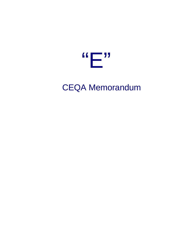

**CEQA Memorandum**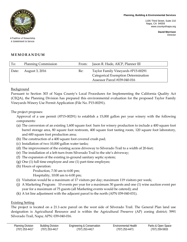**Planning, Building & Environmental Services**

1195 Third Street, Suite 210 Napa, CA 94559 www.countyofnapa.org

> **David Morrison** Director



A Tradition of Stewardship A Commitment to Service

## **MEMORANDUM**

| To:   | <b>Planning Commission</b> | From: | Jason R. Hade, AICP, Planner III                                                                          |
|-------|----------------------------|-------|-----------------------------------------------------------------------------------------------------------|
| Date: | August 3, 2016             | Re:   | Taylor Family Vineyards #P15-00291<br>Categorical Exemption Determination<br>Assessor Parcel #039-040-016 |

**Background** 

Pursuant to Section 303 of Napa County's Local Procedures for Implementing the California Quality Act (CEQA), the Planning Division has prepared this environmental evaluation for the proposed Taylor Family Vineyards Winery Use Permit Application (File No. P15-00291).

The project proposes:

Approval of a use permit (#P15-00291) to establish a 15,000 gallon per year winery with the following components:

- (a) The conversion of an existing 1,600 square foot barn for winery production to include a 400 square foot barrel storage area, 80 square foot restroom, 400 square foot tasting room, 120 square foot laboratory, and 600 square foot production area;
- (b) The construction of a 400 square foot covered crush pad;
- (c) Installation of two 10,000 gallon water tanks;
- (d) The improvement of the existing access driveway to Silverado Trail to a width of 20-feet;
- (e) The installation of a left-turn from Silverado Trail to the site's driveway;
- (f) The expansion of the existing in-ground sanitary septic system;
- (g) One (1) full time employee and one (1) part-time employee;
- (h) Hours of operation:

Production, 7:30 am to 6:00 pm;

Hospitality, 10:00 am to 6:00 pm;

- (i) Visitation would be a maximum of 17 visitors per day; maximum 119 visitors per week;
- (j) A Marketing Program: 10 events per year for a maximum 30 guests and one (1) wine auction event per year for a maximum of 75 guests (all Marketing events would be catered); and
- (k) A lot line adjustment with the adjacent parcel to the north (APN 039-040-031).

## Existing Setting

The project is located on a 21.1-acre parcel on the west side of Silverado Trail. The General Plan land use designation is Agricultural Resource and is within the Agricultural Preserve (AP) zoning district; 5991 Silverado Trail, Napa; APN: 039-040-016.

| Planning Division | <b>Building Division</b> | Engineering & Conservation | Environmental Health | Parks & Open Space |
|-------------------|--------------------------|----------------------------|----------------------|--------------------|
| (707) 253-4417    | (707) 253-4417           | (707) 253-4417             | (707) 253-4471       | (707) 259-5933     |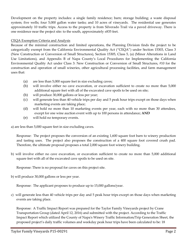Development on the property includes: a single family residence; barn; storage building; a waste disposal system; five wells; four 5,000 gallon water tanks; and 10 acres of vineyards. The residential use generates approximately 10 traffic trips. Access to the property is from Silverado Trail via a paved driveway. There is one residence near the project site: to the south, approximately ±835 feet.

## CEQA Exemption Criteria and Analysis

Because of the minimal construction and limited operations, the Planning Division finds the project to be categorically exempt from the California Environmental Quality Act ("CEQA") under Section 15303, Class 3 (New Construction or Conversion of Small Structures), Section 15305, Class 5, (a) (Minor Alterations in Land Use Limitations), and Appendix B of Napa County's Local Procedures for Implementing the California Environmental Quality Act under Class 3: New Construction or Conversion of Small Structures, #10 for the construction and operation of small wineries, other agricultural processing facilities, and farm management uses that:

- (a) are less than 5,000 square feet in size excluding caves;
- (b) will involve either no cave excavation, or excavation sufficient to create no more than 5,000 additional square feet with all of the excavated cave spoils to be used on site;
- (b) will produce 30,000 gallons or less per year;
- (c) will generate less than 40 vehicle trips per day and 5 peak hour trips except on those days when marketing events are taking place;
- (d) will hold no more than 10 marketing events per year, each with no more than 30 attendees, except for one wine auction event with up to 100 persons in attendance; **AND**
- (e) will hold no temporary events.

a) are less than 5,000 square feet in size excluding caves.

Response: The project proposes the conversion of an existing 1,600 square foot barn to winery production and tasting uses. The project also proposes the construction of a 400 square foot covered crush pad. Therefore, the ultimate proposal proposes a total 2,000 square foot winery building.

b) will involve either no cave excavation, or excavation sufficient to create no more than 5,000 additional square feet with all of the excavated cave spoils to be used on site.

Response: There is no proposal for caves on this project site.

b) will produce 30,000 gallons or less per year.

Response: The applicant proposes to produce up to 15,000 gallons/year.

c) will generate less than 40 vehicle trips per day and 5 peak hour trips except on those days when marketing events are taking place.

Response: A Traffic Impact Report was prepared for the Taylor Family Vineyards project by Crane Transportation Group (dated April 12, 2016) and submitted with the project. According to the Traffic Impact Report which utilized the County of Napa's Winery Traffic Information/Trip Generation Sheet, the proposed project's daily traffic volumes and weekday peak hour trips have been calculated to be: 18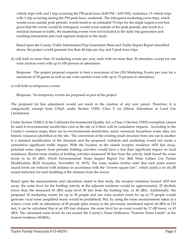vehicle trips with and 1 trip occurring the PM peak hour (4:00 PM – 6:00 PM), weekdays; 15 vehicle trips with 1 trip occurring during the PM peak hour, weekends. The infrequent marketing event trips, which would occur outside peak periods, would result in an estimated 74 trips for the single largest event but, given that the events would be infrequent, would occur outside of the peak periods, and result in a minimal increase in traffic, the marketing events were not included in the daily trip generation and resulting intersection and road segment analysis in the study.

Based upon the County Traffic Information/Trip Generation Sheet and Traffic Impact Report described above, the project would generate less than 40 trips per day and 5 peak hour trips.

d) will hold no more than 10 marketing events per year, each with no more than 30 attendees, except for one wine auction event with up to 100 persons in attendance.

Response: The project proposal requests to host a maximum of ten (10) Marketing Events per year for a maximum of 30 guests as well as one wine auction event with up to 75 persons in attendance.

e) will hold no temporary events.

Response: No temporary events are proposed as part of the project.

The proposed lot line adjustment would not result in the creation of any new parcel. Therefore, it is categorically exempt from CEQA under Section 15305, Class 5, (a) (Minor Alterations in Land Use Limitations).

Under Section 15300.2 of the California Environmental Quality Act, a Class 3 (Section 15303) exemption cannot be used if environmental sensitivities exist at the site or if there will be cumulative impacts. According to the County's resource maps, there are no environmental sensitivities, scenic resources, hazardous waste sites, nor historic resources identified on the site. The conversion of the existing small structure from one use to another is a minimal modification of the structure and the proposed visitation and marketing would not create a cumulative significant traffic impact. With the location of the closest receptor residence ±835 feet away, potential noise impacts from periodic bottling activities would have a less than significant impact on local residences. Recent noise studies of bottling activities measured 50 feet from the activity itself found the noise levels to be 65 dBA. (Draft Environmental Noise Impact Report For: Bell Wine Cellars Use Permit Modification, RGD Acoustics, November 16, 2015). The noise studies further state that such point source sound levels are reduced with distance in accordance with the "inverse square law", which yields a six (6) dB sound reduction for each doubling of the distance from the source.

Based upon the measurements and calculation stated in that study, the receptor residence located ±835 feet away, the noise level for the bottling activity at the adjacent residence would be approximately 25 decibels lower than the measured 65 dBA noise level 50 feet from the bottling line, or 40 dBA. Additionally, the proposed 10 marketing events for up to 30 people and one wine auction event for up to 75 people would generate vocal noise (amplified music would be prohibited). But, by using the noise measurements taken at a winery event with an attendance of 85 people (plus music) in the previously mentioned report, 60 dBA at 123 feet, it can be calculated that at an 835 foot distance, the noise level for an event would be 17 dB lower, or 43 dBA. The calculated noise levels do not exceed the County's Noise Ordinance "Exterior Noise Limits" at the nearest residence (45dBA).